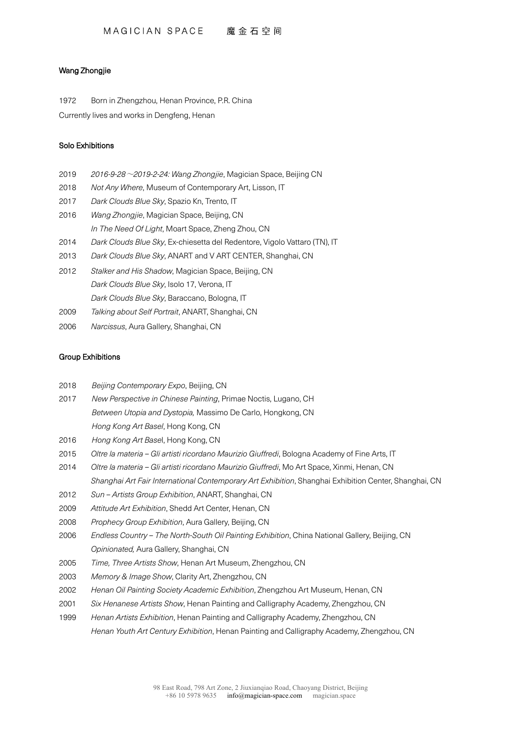## Wang Zhongjie

1972 Born in Zhengzhou, Henan Province, P.R. China

Currently lives and works in Dengfeng, Henan

## Solo Exhibitions

- 2019 *2016-9-28*~*2019-2-24: Wang Zhongjie*, Magician Space, Beijing CN
- 2018 *Not Any Where*, Museum of Contemporary Art, Lisson, IT
- 2017 *Dark Clouds Blue Sky*, Spazio Kn, Trento, IT
- 2016 *Wang Zhongjie*, Magician Space, Beijing, CN
	- *In The Need Of Light*, Moart Space, Zheng Zhou, CN
- 2014 *Dark Clouds Blue Sky*, Ex-chiesetta del Redentore, Vigolo Vattaro (TN), IT
- 2013 *Dark Clouds Blue Sky*, ANART and V ART CENTER, Shanghai, CN
- 2012 *Stalker and His Shadow*, Magician Space, Beijing, CN *Dark Clouds Blue Sky*, Isolo 17, Verona, IT *Dark Clouds Blue Sky*, Baraccano, Bologna, IT
- 2009 *Talking about Self Portrait*, ANART, Shanghai, CN
- 2006 *Narcissus*, Aura Gallery, Shanghai, CN

## Group Exhibitions

- 2018 *Beijing Contemporary Expo*, Beijing, CN
- 2017 *New Perspective in Chinese Painting*, Primae Noctis, Lugano, CH *Between Utopia and Dystopia,* Massimo De Carlo, Hongkong, CN *Hong Kong Art Basel*, Hong Kong, CN
- 2016 *Hong Kong Art Base*l, Hong Kong, CN
- 2015 *Oltre la materia – Gli artisti ricordano Maurizio Giuffredi*, Bologna Academy of Fine Arts, IT
- 2014 *Oltre la materia – Gli artisti ricordano Maurizio Giuffredi*, Mo Art Space, Xinmi, Henan, CN *Shanghai Art Fair International Contemporary Art Exhibition*, Shanghai Exhibition Center, Shanghai, CN
- 2012 *Sun – Artists Group Exhibition*, ANART, Shanghai, CN
- 2009 *Attitude Art Exhibition*, Shedd Art Center, Henan, CN
- 2008 *Prophecy Group Exhibition*, Aura Gallery, Beijing, CN
- 2006 *Endless Country – The North-South Oil Painting Exhibition*, China National Gallery, Beijing, CN *Opinionated,* Aura Gallery, Shanghai, CN
- 2005 *Time, Three Artists Show*, Henan Art Museum, Zhengzhou, CN
- 2003 *Memory & Image Show*, Clarity Art, Zhengzhou, CN
- 2002 *Henan Oil Painting Society Academic Exhibition*, Zhengzhou Art Museum, Henan, CN
- 2001 *Six Henanese Artists Show*, Henan Painting and Calligraphy Academy, Zhengzhou, CN
- 1999 *Henan Artists Exhibition*, Henan Painting and Calligraphy Academy, Zhengzhou, CN *Henan Youth Art Century Exhibition*, Henan Painting and Calligraphy Academy, Zhengzhou, CN